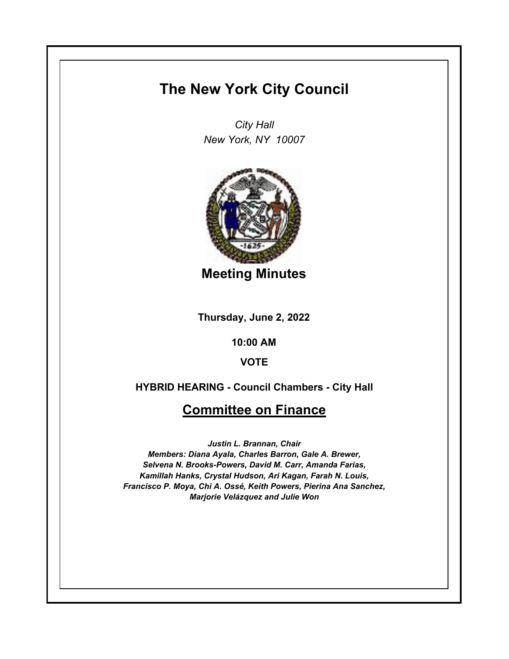## **The New York City Council**

*City Hall New York, NY 10007*



**Meeting Minutes**

**Thursday, June 2, 2022**

**10:00 AM**

**VOTE**

**HYBRID HEARING - Council Chambers - City Hall**

## **Committee on Finance**

*Justin L. Brannan, Chair Members: Diana Ayala, Charles Barron, Gale A. Brewer, Selvena N. Brooks-Powers, David M. Carr, Amanda Farias, Kamillah Hanks, Crystal Hudson, Ari Kagan, Farah N. Louis, Francisco P. Moya, Chi A. Ossé, Keith Powers, Pierina Ana Sanchez, Marjorie Velázquez and Julie Won*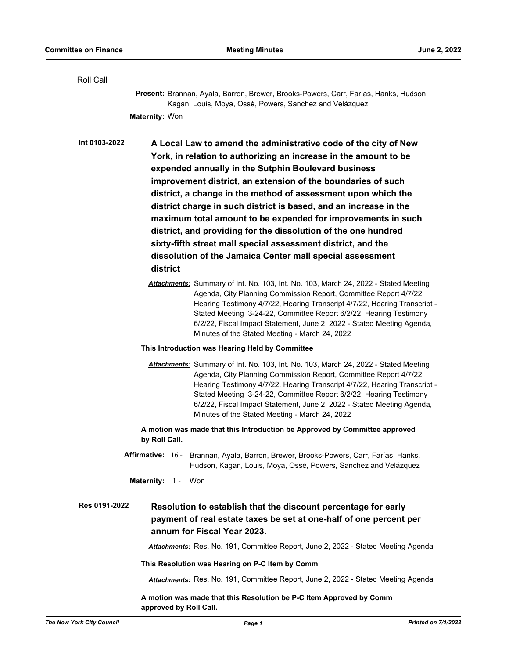| Roll Call     |                                                                                                                                                                                                                                                                                                                                                                                                                                         |
|---------------|-----------------------------------------------------------------------------------------------------------------------------------------------------------------------------------------------------------------------------------------------------------------------------------------------------------------------------------------------------------------------------------------------------------------------------------------|
|               | Present: Brannan, Ayala, Barron, Brewer, Brooks-Powers, Carr, Farías, Hanks, Hudson,<br>Kagan, Louis, Moya, Ossé, Powers, Sanchez and Velázquez                                                                                                                                                                                                                                                                                         |
|               | Maternity: Won                                                                                                                                                                                                                                                                                                                                                                                                                          |
|               |                                                                                                                                                                                                                                                                                                                                                                                                                                         |
| Int 0103-2022 | A Local Law to amend the administrative code of the city of New                                                                                                                                                                                                                                                                                                                                                                         |
|               | York, in relation to authorizing an increase in the amount to be                                                                                                                                                                                                                                                                                                                                                                        |
|               | expended annually in the Sutphin Boulevard business<br>improvement district, an extension of the boundaries of such                                                                                                                                                                                                                                                                                                                     |
|               | district, a change in the method of assessment upon which the                                                                                                                                                                                                                                                                                                                                                                           |
|               | district charge in such district is based, and an increase in the                                                                                                                                                                                                                                                                                                                                                                       |
|               | maximum total amount to be expended for improvements in such                                                                                                                                                                                                                                                                                                                                                                            |
|               | district, and providing for the dissolution of the one hundred                                                                                                                                                                                                                                                                                                                                                                          |
|               | sixty-fifth street mall special assessment district, and the                                                                                                                                                                                                                                                                                                                                                                            |
|               | dissolution of the Jamaica Center mall special assessment                                                                                                                                                                                                                                                                                                                                                                               |
|               | district                                                                                                                                                                                                                                                                                                                                                                                                                                |
|               | Attachments: Summary of Int. No. 103, Int. No. 103, March 24, 2022 - Stated Meeting<br>Agenda, City Planning Commission Report, Committee Report 4/7/22,<br>Hearing Testimony 4/7/22, Hearing Transcript 4/7/22, Hearing Transcript -<br>Stated Meeting 3-24-22, Committee Report 6/2/22, Hearing Testimony<br>6/2/22, Fiscal Impact Statement, June 2, 2022 - Stated Meeting Agenda,<br>Minutes of the Stated Meeting - March 24, 2022 |
|               | This Introduction was Hearing Held by Committee                                                                                                                                                                                                                                                                                                                                                                                         |
|               | Attachments: Summary of Int. No. 103, Int. No. 103, March 24, 2022 - Stated Meeting<br>Agenda, City Planning Commission Report, Committee Report 4/7/22,<br>Hearing Testimony 4/7/22, Hearing Transcript 4/7/22, Hearing Transcript -<br>Stated Meeting 3-24-22, Committee Report 6/2/22, Hearing Testimony<br>6/2/22, Fiscal Impact Statement, June 2, 2022 - Stated Meeting Agenda,<br>Minutes of the Stated Meeting - March 24, 2022 |
|               | A motion was made that this Introduction be Approved by Committee approved<br>by Roll Call.                                                                                                                                                                                                                                                                                                                                             |
|               | Affirmative: 16 - Brannan, Ayala, Barron, Brewer, Brooks-Powers, Carr, Farías, Hanks,<br>Hudson, Kagan, Louis, Moya, Ossé, Powers, Sanchez and Velázquez                                                                                                                                                                                                                                                                                |
|               | Maternity: 1 - Won                                                                                                                                                                                                                                                                                                                                                                                                                      |
| Res 0191-2022 | Resolution to establish that the discount percentage for early<br>payment of real estate taxes be set at one-half of one percent per<br>annum for Fiscal Year 2023.                                                                                                                                                                                                                                                                     |
|               | Attachments: Res. No. 191, Committee Report, June 2, 2022 - Stated Meeting Agenda                                                                                                                                                                                                                                                                                                                                                       |
|               | This Resolution was Hearing on P-C Item by Comm                                                                                                                                                                                                                                                                                                                                                                                         |
|               | Attachments: Res. No. 191, Committee Report, June 2, 2022 - Stated Meeting Agenda                                                                                                                                                                                                                                                                                                                                                       |
|               | A motion was made that this Resolution be P-C Item Approved by Comm<br>approved by Roll Call.                                                                                                                                                                                                                                                                                                                                           |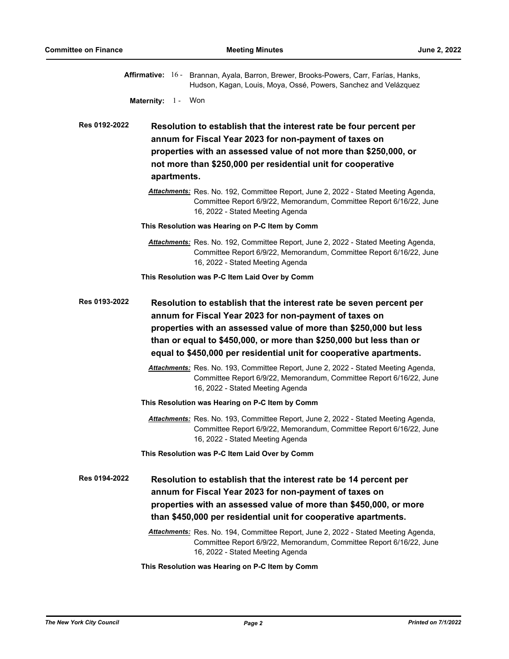|                                                                                                                                                                                                                                                                                                                                                                   |             | Affirmative: 16 - Brannan, Ayala, Barron, Brewer, Brooks-Powers, Carr, Farías, Hanks,<br>Hudson, Kagan, Louis, Moya, Ossé, Powers, Sanchez and Velázquez                                                                                                           |  |
|-------------------------------------------------------------------------------------------------------------------------------------------------------------------------------------------------------------------------------------------------------------------------------------------------------------------------------------------------------------------|-------------|--------------------------------------------------------------------------------------------------------------------------------------------------------------------------------------------------------------------------------------------------------------------|--|
| Maternity: 1 - Won                                                                                                                                                                                                                                                                                                                                                |             |                                                                                                                                                                                                                                                                    |  |
| Res 0192-2022                                                                                                                                                                                                                                                                                                                                                     | apartments. | Resolution to establish that the interest rate be four percent per<br>annum for Fiscal Year 2023 for non-payment of taxes on<br>properties with an assessed value of not more than \$250,000, or<br>not more than \$250,000 per residential unit for cooperative   |  |
|                                                                                                                                                                                                                                                                                                                                                                   |             | Attachments: Res. No. 192, Committee Report, June 2, 2022 - Stated Meeting Agenda,<br>Committee Report 6/9/22, Memorandum, Committee Report 6/16/22, June<br>16, 2022 - Stated Meeting Agenda                                                                      |  |
|                                                                                                                                                                                                                                                                                                                                                                   |             | This Resolution was Hearing on P-C Item by Comm                                                                                                                                                                                                                    |  |
|                                                                                                                                                                                                                                                                                                                                                                   |             | Attachments: Res. No. 192, Committee Report, June 2, 2022 - Stated Meeting Agenda,<br>Committee Report 6/9/22, Memorandum, Committee Report 6/16/22, June<br>16, 2022 - Stated Meeting Agenda                                                                      |  |
|                                                                                                                                                                                                                                                                                                                                                                   |             | This Resolution was P-C Item Laid Over by Comm                                                                                                                                                                                                                     |  |
| Res 0193-2022<br>Resolution to establish that the interest rate be seven percent per<br>annum for Fiscal Year 2023 for non-payment of taxes on<br>properties with an assessed value of more than \$250,000 but less<br>than or equal to \$450,000, or more than \$250,000 but less than or<br>equal to \$450,000 per residential unit for cooperative apartments. |             |                                                                                                                                                                                                                                                                    |  |
|                                                                                                                                                                                                                                                                                                                                                                   |             | Attachments: Res. No. 193, Committee Report, June 2, 2022 - Stated Meeting Agenda,<br>Committee Report 6/9/22, Memorandum, Committee Report 6/16/22, June<br>16, 2022 - Stated Meeting Agenda                                                                      |  |
|                                                                                                                                                                                                                                                                                                                                                                   |             | This Resolution was Hearing on P-C Item by Comm                                                                                                                                                                                                                    |  |
|                                                                                                                                                                                                                                                                                                                                                                   |             | Attachments: Res. No. 193, Committee Report, June 2, 2022 - Stated Meeting Agenda,<br>Committee Report 6/9/22, Memorandum, Committee Report 6/16/22, June<br>16, 2022 - Stated Meeting Agenda                                                                      |  |
|                                                                                                                                                                                                                                                                                                                                                                   |             | This Resolution was P-C Item Laid Over by Comm                                                                                                                                                                                                                     |  |
| <b>Res 0194-2022</b>                                                                                                                                                                                                                                                                                                                                              |             | Resolution to establish that the interest rate be 14 percent per<br>annum for Fiscal Year 2023 for non-payment of taxes on<br>properties with an assessed value of more than \$450,000, or more<br>than \$450,000 per residential unit for cooperative apartments. |  |
|                                                                                                                                                                                                                                                                                                                                                                   |             | Attachments: Res. No. 194, Committee Report, June 2, 2022 - Stated Meeting Agenda,<br>Committee Report 6/9/22, Memorandum, Committee Report 6/16/22, June<br>16, 2022 - Stated Meeting Agenda                                                                      |  |

**This Resolution was Hearing on P-C Item by Comm**